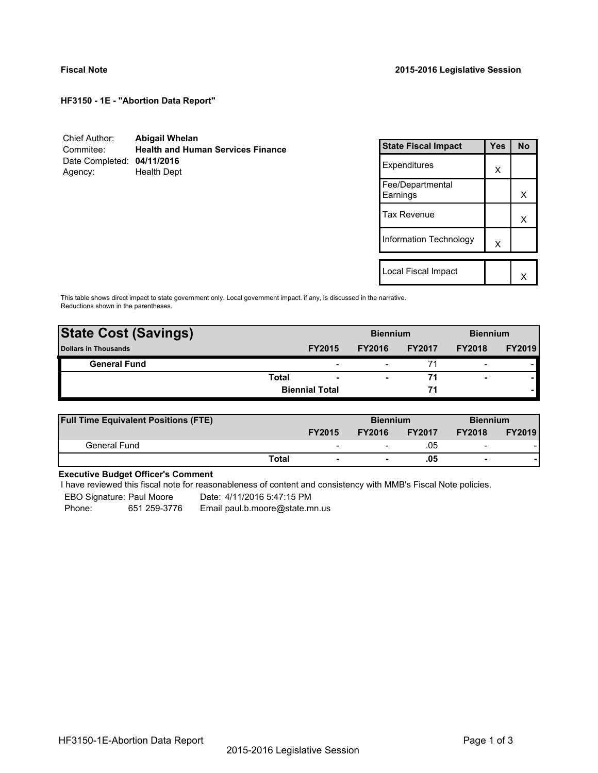**HF3150 - 1E - "Abortion Data Report"**

| Chief Author:              | <b>Abigail Whelan</b>                    |
|----------------------------|------------------------------------------|
| Commitee:                  | <b>Health and Human Services Finance</b> |
| Date Completed: 04/11/2016 |                                          |
| Agency:                    | Health Dept                              |

| <b>State Fiscal Impact</b>   | Yes | <b>No</b> |
|------------------------------|-----|-----------|
| Expenditures                 | X   |           |
| Fee/Departmental<br>Earnings |     | x         |
| <b>Tax Revenue</b>           |     | x         |
| Information Technology       | x   |           |
|                              |     |           |
| Local Fiscal Impact          |     |           |

This table shows direct impact to state government only. Local government impact. if any, is discussed in the narrative. Reductions shown in the parentheses.

| <b>State Cost (Savings)</b> |                       |                          | <b>Biennium</b>          |               | <b>Biennium</b>          |               |
|-----------------------------|-----------------------|--------------------------|--------------------------|---------------|--------------------------|---------------|
| <b>Dollars in Thousands</b> |                       | <b>FY2015</b>            | <b>FY2016</b>            | <b>FY2017</b> | <b>FY2018</b>            | <b>FY2019</b> |
| <b>General Fund</b>         |                       | $\overline{\phantom{a}}$ |                          | 71            | $\overline{\phantom{0}}$ |               |
|                             | Total                 | $\overline{\phantom{a}}$ | $\overline{\phantom{0}}$ | 71            | ۰                        |               |
|                             | <b>Biennial Total</b> |                          |                          | 71            |                          |               |
|                             |                       |                          |                          |               |                          |               |

| <b>Full Time Equivalent Positions (FTE)</b> |              |                          | <b>Biennium</b> |               | <b>Biennium</b>          |               |
|---------------------------------------------|--------------|--------------------------|-----------------|---------------|--------------------------|---------------|
|                                             |              | <b>FY2015</b>            | <b>FY2016</b>   | <b>FY2017</b> | <b>FY2018</b>            | <b>FY2019</b> |
| General Fund                                |              | $\overline{\phantom{0}}$ |                 | .05           | $\overline{\phantom{0}}$ |               |
|                                             | <b>Total</b> | $\blacksquare$           |                 | .05           | $\blacksquare$           |               |

# **Executive Budget Officer's Comment**

I have reviewed this fiscal note for reasonableness of content and consistency with MMB's Fiscal Note policies.

EBO Signature: Paul Moore Date: 4/11/2016 5:47:15 PM

Phone: 651 259-3776 Email paul.b.moore@state.mn.us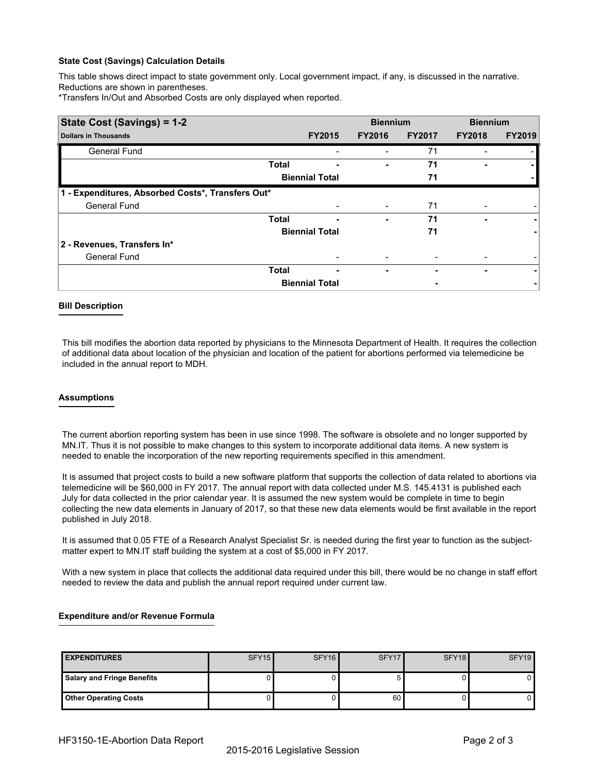### **State Cost (Savings) Calculation Details**

This table shows direct impact to state government only. Local government impact, if any, is discussed in the narrative. Reductions are shown in parentheses.

\*Transfers In/Out and Absorbed Costs are only displayed when reported.

| State Cost (Savings) = 1-2                        |              |                       | <b>Biennium</b> |               | <b>Biennium</b> |               |
|---------------------------------------------------|--------------|-----------------------|-----------------|---------------|-----------------|---------------|
| <b>Dollars in Thousands</b>                       |              | <b>FY2015</b>         | <b>FY2016</b>   | <b>FY2017</b> | <b>FY2018</b>   | <b>FY2019</b> |
| General Fund                                      |              |                       |                 | 71            |                 |               |
|                                                   | <b>Total</b> |                       |                 | 71            |                 |               |
|                                                   |              | <b>Biennial Total</b> |                 | 71            |                 |               |
| 1 - Expenditures, Absorbed Costs*, Transfers Out* |              |                       |                 |               |                 |               |
| <b>General Fund</b>                               |              |                       | -               | 71            |                 |               |
|                                                   | <b>Total</b> |                       | ٠               | 71            |                 |               |
|                                                   |              | <b>Biennial Total</b> |                 | 71            |                 |               |
| 2 - Revenues, Transfers In*                       |              |                       |                 |               |                 |               |
| <b>General Fund</b>                               |              |                       |                 |               |                 |               |
|                                                   | <b>Total</b> | ٠                     | -               |               | -               |               |
|                                                   |              | <b>Biennial Total</b> |                 |               |                 |               |

### **Bill Description**

This bill modifies the abortion data reported by physicians to the Minnesota Department of Health. It requires the collection of additional data about location of the physician and location of the patient for abortions performed via telemedicine be included in the annual report to MDH.

### **Assumptions**

The current abortion reporting system has been in use since 1998. The software is obsolete and no longer supported by MN.IT. Thus it is not possible to make changes to this system to incorporate additional data items. A new system is needed to enable the incorporation of the new reporting requirements specified in this amendment.

It is assumed that project costs to build a new software platform that supports the collection of data related to abortions via telemedicine will be \$60,000 in FY 2017. The annual report with data collected under M.S. 145.4131 is published each July for data collected in the prior calendar year. It is assumed the new system would be complete in time to begin collecting the new data elements in January of 2017, so that these new data elements would be first available in the report published in July 2018.

It is assumed that 0.05 FTE of a Research Analyst Specialist Sr. is needed during the first year to function as the subjectmatter expert to MN.IT staff building the system at a cost of \$5,000 in FY 2017.

With a new system in place that collects the additional data required under this bill, there would be no change in staff effort needed to review the data and publish the annual report required under current law.

## **Expenditure and/or Revenue Formula**

| <b>EXPENDITURES</b>               | SFY <sub>15</sub> | SFY <sub>16</sub> | SFY <sub>17</sub> | SFY <sub>18</sub> | SFY <sub>19</sub> |
|-----------------------------------|-------------------|-------------------|-------------------|-------------------|-------------------|
| <b>Salary and Fringe Benefits</b> |                   |                   |                   |                   | 0                 |
| <b>Other Operating Costs</b>      |                   |                   | 60                |                   | 0'                |